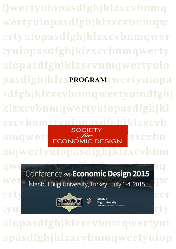**Qwertyuiopasdfghjklzxcvbnmq wertyuiopasdfghjklzxcvbnmqw ertyuiopasdfghjklzxcvbnmqwer tyuiopasdfghjklzxcvbnmqwerty uiopasdfghjklzxcvnmqwertyuio** pasdfghjklzxPROGRAM wertyuiopa **sdfghjklzxcvbnmqwertyuiodfghj klzxcvbnmqwertyuiopasdfghjkl zxcvbnmrtyuiopasdfghjklzxcvb nmqwert**<br>ECONOMIC DESIGN EXECUTIVE **mqwertyuiopasdfghjklzxcvbnm**

qwertyuiopasta de la construcción de la construcción de la construcción de la construcción de la construcción de **We I** Istanbul Rilgi University Turkey July 1-4 2015



**uiopasdfghjklzxcvbnmqwertyui opasdfghjklzxcvbnmqwertyuiop**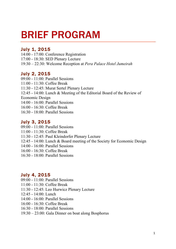# BRIEF PROGRAM

## July 1, 2015

14:00 - 17:00: Conference Registration 17:00 - 18:30: SED Plenary Lecture 19:30 – 22:30: Welcome Reception at *Pera Palace Hotel Jumeirah*

## July 2, 2015

09:00 - 11:00: Parallel Sessions 11:00 - 11:30: Coffee Break 11:30 - 12:45: Murat Sertel Plenary Lecture 12:45 - 14:00: Lunch & Meeting of the Editorial Board of the Review of Economic Design 14:00 - 16:00: Parallel Sessions 16:00 - 16:30: Coffee Break 16:30 - 18:00: Parallel Sessions

## July 3, 2015

- 09:00 11:00: Parallel Sessions
- 11:00 11:30: Coffee Break
- 11:30 12:45: Paul Kleindorfer Plenary Lecture
- 12:45 14:00: Lunch & Board meeting of the Society for Economic Design
- 14:00 16:00: Parallel Sessions
- 16:00 16:30: Coffee Break
- 16:30 18:00: Parallel Sessions

## July 4, 2015

- 09:00 11:00: Parallel Sessions
- 11:00 11:30: Coffee Break
- 11:30 12:45: Leo Hurwicz Plenary Lecture
- 12:45 14:00: Lunch
- 14:00 16:00: Parallel Sessions
- 16:00 16:30: Coffee Break
- 16:30 18:00: Parallel Sessions
- 19:30 23:00: Gala Dinner on boat along Bosphorus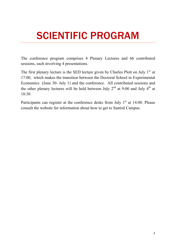# SCIENTIFIC PROGRAM

The conference program comprises 4 Plenary Lectures and 66 contributed sessions, each involving 4 presentations.

The first plenary lecture is the SED lecture given by Charles Plott on July  $1<sup>st</sup>$  at 17:00, which makes the transition between the Doctoral School in Experimental Economics (June 30- July 1) and the conference. All contributed sessions and the other plenary lectures will be held between July  $2<sup>nd</sup>$  at 9:00 and July  $4<sup>th</sup>$  at 18:30. 

Participants can register at the conference desks from July  $1<sup>st</sup>$  at 14:00. Please consult the website for information about how to get to Santral Campus.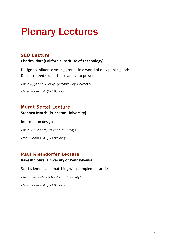# Plenary Lectures

## SED Lecture

## **Charles Plott (California Institute of Technology)**

Design to influence voting groups in a world of only public goods: Decentralized social choice and veto powers

Chair: Ayça Ebru Giritligil (İstanbul Bilgi University) Place: Room 404, ÇSM Building

## Murat Sertel Lecture

## **Stephen Morris (Princeton University)**

Information design

Chair: Semih Koray (Bilkent University) Place: Room 404, ÇSM Building

## Paul Kleindorfer Lecture

## **Rakesh Vohra (University of Pennsylvania)**

Scarf's lemma and matching with complementarities

Chair: Hans Peters (Maastricht University)

Place: Room 404, ÇSM Building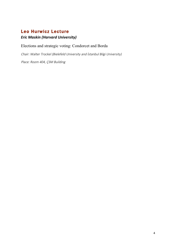## Leo Hurwicz Lecture

## *Eric Maskin (Harvard University)*

## Elections and strategic voting: Condorcet and Borda

Chair: Walter Trockel (Bielefeld University and İstanbul Bilgi University)

Place: Room 404, ÇSM Building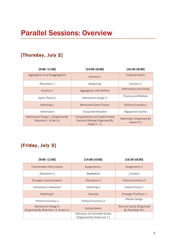## [Thursday, July 2]

| $[9:00 - 11:00]$                                         | $[14:00-16:00]$                                                                        | $[16:30-18:00]$                        |
|----------------------------------------------------------|----------------------------------------------------------------------------------------|----------------------------------------|
| Aggregation and Disaggregation                           | Auctions 2                                                                             | Implementation                         |
| Allocations 1                                            | Bargaining                                                                             | Auctions 3                             |
| Auctions 1                                               | Aggregation and Welfare                                                                | Information and Voting                 |
| Game Theory 1                                            | Mechanism Design 2                                                                     | Finance and Markets                    |
| Matching 1                                               | <b>Behavioral Game Theory</b>                                                          | Political Economy 1                    |
| Information                                              | Group Identification                                                                   | Oligopolistic Games                    |
| Mechanism Design 1 (Organized By<br>Weymark J. & Sen A.) | <b>Computational and Experimental</b><br>Decision Making (Organized By<br>Haake C. J.) | Matching 2 (Organized By<br>Kesten O.) |

## [Friday, July 3]

| $[9:00 - 11:00]$                                           | $[14:00-16:00]$                                                | $[16:30-18:00]$                                |
|------------------------------------------------------------|----------------------------------------------------------------|------------------------------------------------|
| Transferable Utility Games                                 | Assignments 1                                                  | Assignments 2                                  |
| Allocations 2                                              | Auctions 4                                                     | Contests                                       |
| <b>Strategic Communication</b>                             | Allocations 3                                                  | Political Economy 4                            |
| Interaction in Networks                                    | Matching 4                                                     | School Choice 1                                |
| Matching 3                                                 | Queuing                                                        | Strategy-Proofness 1                           |
| Political Economy 2                                        | Political Economy 3                                            | Market Design                                  |
| Mechanism Design 3<br>(Organized By Weymark J.A. & Sen A.) | <b>Voting Games</b>                                            | Risk and Equity (Organized<br>By Fleurbaey M.) |
|                                                            | Allocation of Indivisible Goods<br>(Organized By Andersson T.) |                                                |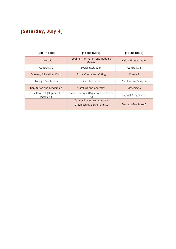## [Saturday, July 4]

| $[9:00 - 11:00]$                           | $[14:00-16:00]$                                                    | $[16:30-18:00]$             |
|--------------------------------------------|--------------------------------------------------------------------|-----------------------------|
| Choice 1                                   | Coalition Formation and Hedonic<br>Games                           | <b>Risk and Uncertainty</b> |
| Contracts 1                                | Social Interaction                                                 | Contracts 2                 |
| Fairness, Allocation, Costs                | Social Choice and Voting                                           | Choice 2                    |
| Strategy-Proofness 2                       | School Choice 2                                                    | Mechanism Design 4          |
| Reputation and Leadership                  | <b>Matching and Contracts</b>                                      | Matching 5                  |
| Social Choice 1 (Organized By<br>Peters H) | Game Theory 2 (Organized By Peters<br>H.                           | School Assignment           |
|                                            | <b>Optimal Pricing and Auctions</b><br>(Organized By Bergemann D.) | Strategy-Proofness 3        |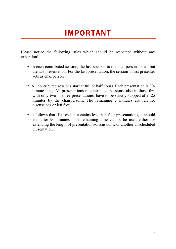## IMPORTANT

Please notice the following rules which should be respected without any exception!

- In each contributed session, the last speaker is the chairperson for all but the last presentation. For the last presentation, the session´s first presenter acts as chairperson.
- All contributed sessions start at full or half hours. Each presentation is 30 minute long. All presentations in contributed sessions, also in those few with only two or three presentations, have to be strictly stopped after 25 minutes by the chairpersons. The remaining 5 minutes are left for discussions or left free.
- It follows that if a session contains less than four presentations, it should end after 90 minutes. The remaining time cannot be used either for extending the length of presentations/discussions, or another unscheduled presentation.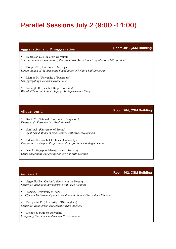## Parallel Sessions July 2 (9:00 -11:00)

## Aggregation and Disaggregation **Room 401, ÇSM Building**

• Bedrosian G. (Bielefeld University) *Microeconomic Foundations of Representative Agent Models By Means of Ultraproducts*

• Börgers T. (University of Michigan) *Reformulation of the Axiomatic Foundations of Relative Utilitarianism* 

Maraun N. (University of Paderborn) *Disaggregating Consumer Evaluations* 

• Nebioğlu D. (İstanbul Bilgi University) *Wealth Effects and Labour Supply: An Experimental Study*

Allocations 1 **Room 204, ÇSM Building**

• Ko C.Y. (National University of Singapore) *Division of a Resource in a Grid Network*

Saral A.S. (University of Trento) *An Agent-based Model of Open-Source Software Development*

• Ertemel S. (İstanbul Technical University) *Ex-ante versus Ex-post Proportional Rules for State Contingent Claims*

• Xue J. (Singapore Management University) *Claim uncertainty and egalitarian division with wastage*

## Auctions 1 **Room 402, ÇSM Building**

Segev E. (Ben-Gurion University of the Negev) *Sequential Bidding in Asymmetric First Price Auctions*

• Yang Z. (University of York) *An Efficient Multi-Item Dynamic Auction with Budget Constrained Bidders*

• Derbyshire D. (University of Birmingham) *Sequential Equilibrium and Moral Hazard Auctions*

• Delnoij J. (Utrecht University) *Competing First Price and Second Price Auctions*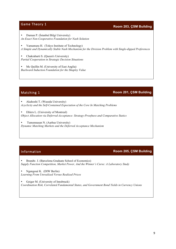## **Game Theory 1 Room 203, ÇSM Building**

• Duman P. (İstanbul Bilgi University) *An Exact Non-Cooperative Foundation for Nash Solution*

• Yamamura H. (Tokyo Institute of Technology) *A Simple and Dynamically Stable Nash Mechanism for the Division Problem with Single-dipped Preferences*

• Chakrabarti S. (Queen's University) *Partial Cooperation in Strategic Decision Situations*

Mc Quillin M. (University of East Anglia) *Backward Induction Foundation for the Shapley Value*

## Matching 1 **Room 201, ÇSM Building**

• Akahoshi T. (Waseda University) *Acyclicity and the Self-Contained Expectation of the Core In Matching Problems*

• Ehlers L. (University of Montreal) *Object Allocation via Deferred-Acceptance: Strategy-Proofness and Comparative Statics*

• Tumennasan N. (Aarhus University) *Dynamic Matching Markets and the Deferred Acceptance Mechanism*

## Information **Room 205, ÇSM Building**

• Brandts J. (Barcelona Graduate School of Economics) *Supply Function Competition, Market Power, And the Winner's Curse: A Laboratory Study*

• Ngangoué K. (DIW Berlin) *Learning From Unrealized Versus Realized Prices*

• Geiger M. (University of Innsbruck) *Coordination Risk, Correlated Fundamental States, and Government Bond Yields in Currency Unions*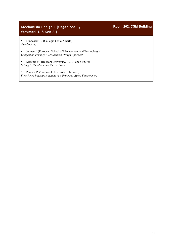## Mechanism Design 1 (Organized By Weymark J. & Sen A.)

• Hinnosaar T. (Collegio Carlo Alberto) *Overbooking*

• Johnen J. (European School of Management and Technology) *Congestion Pricing: A Mechanism Design Approach* 

• Messner M. (Bocconi University, IGIER and CESifo) *Selling to the Mean and the Variance*

• Paulsen P. (Technical University of Munich) *First-Price Package Auctions in a Principal-Agent Environment* **Room 202, ÇSM Building**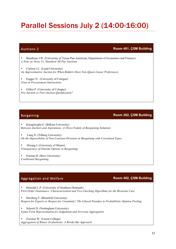## Parallel Sessions July 2 (14:00-16:00)

## Auctions 2 **Room 401, ÇSM Building**

- Boudreau J.W. (University of Texas-Pan American, Department of Economics and Finance) *A Note on Noisy Vs. Standard All-Pay Auctions*
- Carlson J.I. (Lund University) *An Approximative Auction for When Bidders Have Non-Quasi-Linear Preferences*
- Fugger N. (University of Cologne) *Trust in Procurement Interactions*
- Gillen P. (University of Cologne) *Pre-Auction or Post-Auction Qualification?*

### Bargaining **Room 202, ÇSM Building**

- Karagözoğlu E. (Bilkent University) *Between Anchors and Aspirations: A (New) Family of Bargaining Solutions*
- Lang X. (Tilburg University) *On the Impossibility of Non-Constant Divisions in Bargaining with Correlated Types*
- Hwang I. (University of Miami) *Transparency of Outside Options in Bargaining*
- Eraslan H. (Rice University) *Coalitional Bargaining*

## Aggregation and Welfare **Room 402, ÇSM Building**

- Østerdal L.P. (University of Southern Denmark) *First Order Dominance: Characterization and Two Checking Algorithms for the Bivariate Case*
- Herzberg F. (Bielefeld University) *Respect for Experts or Respect for Unanimity? The Liberal Paradox in Probabilistic Opinion Pooling*
- Schoch D. (Nottingham University) *Game Form Representation for Judgement and Arrovian Aggregation*
- Zwicker W. (Union College) *Aggregation of Binary Evaluations: A Borda-like Approach*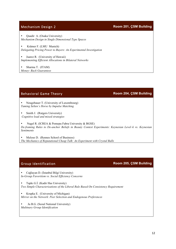Mechanism Design 2 **Room 201, ÇSM Building**

• Quadir A. (Osaka University) *Mechanism Design in Single Dimensional Type Spaces*

• Krämer F. (LMU Munich) *Delegating Pricing Power to Buyers: An Experimental Investigation*

• Juarez R. (University of Hawaii) *Implementing Efficient Allocations in Bilateral Networks*

• Sharma T. (ITAM) *Money- Back Guarantees*

## Behavioral Game Theory **Room 204, ÇSM Building**

• Neugebauer T. (University of Luxembourg) *Taming Selten´s Horse by Impulse Matching*

Smith J. (Rutgers University) *Cognitive load and mixed strategies* 

• Nagel R. (ICREA & Pomepu Fabra University & BGSE) *De-framing Rules to De-anchor Beliefs in Beauty Contest Experiments: Keynesian Level–k vs. Keynesian Sentiments*

• Meloso D. (Rennes School of Business) *The Mechanics of Reputational Cheap Talk: An Experiment with Crystal Balls*

## Group Identification **Room 205, ÇSM Building**

• Cağlayan D. (İstanbul Bilgi University) *In-Group Favoritism vs. Social Efficiency Concerns*

• Tapkı G.İ. (Kadir Has University) *Two Simple Characterizations of the Liberal Rule Based On Consistency Requirement*

• Krupka E. (University of Michigan) *Mirror on the Network: Peer Selection and Endogenous Preferences*

Ju B.G. (Seoul National University) *Multinary Group Identification*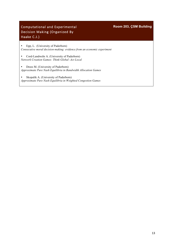## Computational and Experimental Decision Making (Organized By Haake C.J.)

## **Room 203, ÇSM Building**

• Epp, L. (University of Paderborn) *Consecutive moral decision-making: evidence from an economic experiment*

• Cord-Landwehr A. (University of Paderborn) *Network Creation Games: Think Global -Act Local* 

• Drees M. (University of Paderborn) *Approximate Pure Nash Equilibria in Bandwidth Allocation Games* 

• Skopalik A. (University of Paderborn) *Approximate Pure Nash Equilibria in Weighted Congestion Games*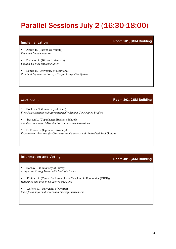## Parallel Sessions July 2 (16:30-18:00)

• Azacis H. (Cardiff University) *Repeated Implementation*

• Dalkıran A. (Bilkent University) *Epsilon-Ex Post Implementation*

Lopez H. (University of Maryland) *Practical Implementation of a Traffic Congestion System*

Auctions 3 **Room 203, ÇSM Building**

• Bobkova N. (University of Bonn) *First Price Auction with Asymmetrically Budget Constrained Bidders*

• Boscan L. (Copenhagen Business School) *The Reverse Product-Mix Auction and Further Extensions*

• Di Corato L. (Uppsala University) *Procurement Auctions for Conservation Contracts with Embedded Real Options*

## Information and Voting **Room 401, ÇSM Building**

• Bozbay İ. (University of Surrey) *A Bayesian Voting Model with Multiple Issues*

• Elbittar A. (Center for Research and Teaching in Economics (CIDE)) *Ignorance and Bias in Collective Decisions*

• Xefteris D. (University of Cyprus) *Imperfectly informed voters and Strategic Extremism*

## Implementation **Room 201, ÇSM Building**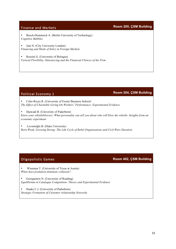• Bosch-Doménech A. (Berlin University of Technology) *Cognitive Bubbles*

• Jain N. (City University London) *Financing and Mode of Entry in Foreign Markets*

• Rossini G. (University of Bologna) *Vertical Flexibility, Outsourcing and the Financial Choices of the Firm*

## Political Economy 1 **Room 204, ÇSM Building**

• Cobo Reyes R. (University of Exeter Business School) *The Effect of Charitable Giving On Workers' Performance: Experimental Evidence*

• Djawadi B. (University of Paderborn)

*Know your whistleblowers: What personality can tell you about who will blow the whistle- Insights from an economic experiment*

• Leventoğlu B. (Duke University) *Born Weak, Growing Strong: The Life Cycle of Rebel Organizations and Civil Wars Duration*

## Oligopolistic Games **Room 402, ÇSM Building**

• Wiseman T. (University of Texas at Austin) *When does predation dominate collusion?*

• Georgantzis N. (University of Reading) *Equilibrium in Catalogue Competition: Theory and Experimental Evidence*

• Haake C.J. (University of Paderborn) *Strategic Formation of Customer relationship Networks*

Finance and Markets **Room 205, ÇSM Building**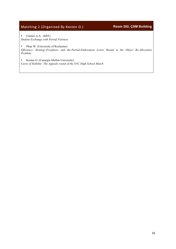## Matching 2 (Organized By Kesten O.) **Room 202, ÇSM Building**

• Gitmez A.A. (MIT) *Student Exchange with Partial Fairness*

• Phan W. (University of Rochester)

*Efficiency, Strategy-Proofness, and the Partial-Endowment Lower Bound in the Object Re-Allocation Problem* 

• Kesten O. (Carnegie Mellon University) *Curse of Stability: The Appeals round of the NYC High School Match*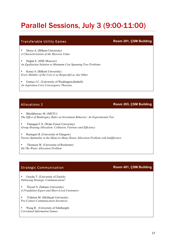## Parallel Sessions, July 3 (9:00-11:00)

## Transferable Utility Games **Room 201, ÇSM Building**

• Derya A. (Bilkent University) *A Characterization of the Myerson Value*

• Doğan E. (HSE Moscow) *An Egalitarian Solution to Minimum Cost Spanning Tree Problems*

• Koray S. (Bilkent University) *Every Member of the Core is as Respectful as Any Other*

• Gomez J.C. (University of Washington,Bothell) *An Aspiration Core Convergence Theorem*

## Allocations 2 **Room 203, ÇSM Building**

• Büyükboyacı M. (METU) *The Effect of Bankruptcy Rules on Investment Behavior: An Experimental Test*

• Flanagan F.X. (Wake Forest University) *Group Housing Allocation: Collusion, Fairness and Efficiency*

• Rastegari B. (University of Glasgow) *Pareto Optimality in the Many-to-Many House Allocation Problem with Indifference*

• Thomson W. (University of Rochester) *On The Water Allocation Problem*

## Strategic Communication **Room 401, CSM Building**

Gesche T. (University of Zurich) *Debiasing Strategic Communication?*

• Özyurt S. (Sabancı University) *A Fraudulent Expert and Short-Lived Customers*

• Yıldırım M. (Melikşah University) *Pre-Contest Communication Incentives*

• Wang R. (University of Edinburgh) *Correlated Information Games*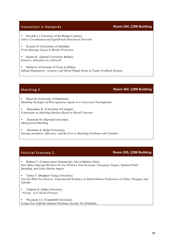## Interaction in Networks **Room 204, ÇSM Building**

• Kovarik J. ( University of the Basque Country) *(Anti-) Coordination and Equilibrium Selection in Networks*

• Kvasow D. (University of Adelaide) *From Sabotage Games to Border Protection*

• Kumar R. (Queen's University Belfast) *Resource Allocation in a Network*

• Bolton G. (University of Texas in Dallas) *Inflated Reputations: Leniency and Moral Wiggle Room in Trader Feedback Systems*

## Matching 3 **Room 402, ÇSM Building**

• Hoyer B. (University of Paderborn) *Matching Strategies of Heterogeneous Agents in a University Clearinghouse*

- Huesmann K. (University of Cologne) *Constraints on Matching Markets Based on Moral Concerns*
- Kotowski M. (Harvard University) *Multi-period Matching*

• Morimoto S. (Kobe University) *Strategy-proofness, Efficiency, and the Core in Matching Problems with Transfers*

## Political Economy 2 **Room 205, ÇSM Building**

• Rebiere T. (Conservatoire National des Arts et Metiers, Paris) *How Many Educated Workers Do You Wish for Your Economy? European Targets, Optimal Public Spending, and Labor Market Impact*

• Turley T. (Brigham Young University) *You Get What You Deserve: Experimental Evidence on Redistribution Preferences in China, Paraguay and Uganda*

• Yıldırım H. (Duke University) *"Giving" in to Social Pressure*

• Weymark J.A. (Vanderbilt University) *Voting Over Selfishly Optimal Nonlinear Income Tax Schedules*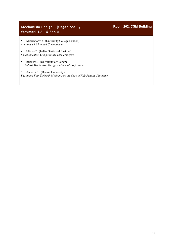## Mechanism Design 3 (Organized By Weymark J.A. & Sen A.)

**Room 202, ÇSM Building**

• Mierendorff K. (University College London) *Auctions with Limited Commitment* 

• Mishra D. (Indian Statistical Institute) *Local Incentive Compatibility with Transfers* 

• Ruckert D. (University of Cologne)  *Robust Mechanism Design and Social Preferences* 

• Anbarcı N. (Deakin University) *Designing Fair Tiebreak Mechanisms the Case of Fifa Penalty Shootouts*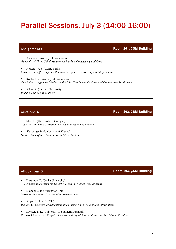## Parallel Sessions, July 3 (14:00-16:00)

Assignments 1 **Room 201, ÇSM Building**

• Atay A. (University of Barcelona) *Generalized Three-Sided Assignment Markets Consistency and Core*

• Nesterov A.S (WZB, Berlin) *Fairness and Efficiency in a Random Assignment: Three Impossibility Results*

• Robles F. (University of Barcelona) *One-Seller Assignment Markets with Multi-Unit Demands: Core and Competitive Equilibrium*

• Alkan A. (Sabancı University) *Pairing Games And Markets* 

Mass H. (University of Cologne) *The Limits of Non-discriminatory Mechanisms in Procurement*

• Kasberger B. (University of Vienna) *On the Clock of the Combinatorial Clock Auction*

## Allocations 3 **Room 203, ÇSM Building**

• Kazumura T. (Osaka University) *Anonymous Mechanism for Object Allocation without Quasilinearity*

• Klamler C. (University of Graz) *Maximin Envy-Free Division of Indivisible Items*

• Akyol E. (TOBB-ETU) *Welfare Comparison of Allocation Mechanisms under Incomplete Information*

• Szwagrzak K. (University of Southern Denmark) *Priority Classes And Weighted Constrained Equal Awards Rules For The Claims Problem*

## Auctions 4 **Room 202, ÇSM Building**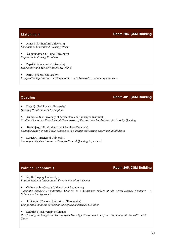## Matching 4 **Room 204, ÇSM Building**

• Arnosti N. (Stanford University) *Shortlists in Centralized Clearing Houses*

• Gudmundsson J. (Lund University) *Sequences in Pairing Problems*

Papai S. (Concordia University) *Reasonably and Securely Stable Matching*

Park J. (Yonsei University) *Competitive Equilibrium and Singleton Cores in Generalized Matching Problems*

### Queuing **Room 401, ÇSM Building**

• Kayı Ç. (Del Rosario University) *Queuing Problems with Exit Option*

• Onderstal S. (University of Amsterdam and Tinbergen Institute) *Trading Places: An Experimental Comparison of Reallocation Mechanisms for Priority Queuing*

Breinbjerg J. N. (University of Southern Denmark) *Strategic Behavior and Social Outcomes in a Bottleneck Queue: Experimental Evidence*

• Sürücü O. (Bielefeld University) *The Impact Of Time Pressure: Insights From A Queuing Experiment*

## Political Economy 3 **Room 205, ÇSM Building**

• İriş D. (Sogang University) *Loss-Aversion in International Environmental Agreements*

• Cialowicz B. (Cracow University of Economics)

*Axiomatic Analysis of innovative Changes in a Consumer Sphere of the Arrow-Debreu Economy - A Schumpeterian Approach*

• Lipieta A. (Cracow University of Economics) *Comparative Analysis of Mechanisms of Schumpeterian Evolution*

Schmidt F. (University of Mainz)

*Reactivating the Long-Term Unemployed More Effectively: Evidence from a Randomized Controlled Field Study*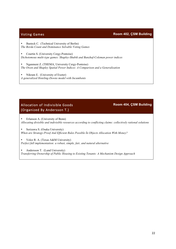## Voting Games **Room 402, ÇSM Building**

Basteck C. (Technical University of Berlin) *The Borda Count and Dominance Solvable Voting Games*

• Courtin S. (University Cergy-Pontoise) *Dichotomous multi-type games: Shapley-Shubik and Banzhaf-Coleman power indices* 

• Nganmeni Z. (THEMA, University Cergy-Pontoise) *The Owen and Shapley Spatial Power Indices: A Comparison and a Generalization*

Nikram E. (University of Exeter) *A generalized Hoteling-Downs model with Incumbents*

## Allocation of Indivisible Goods (Organized By Andersson T.)

**Room 404, ÇSM Building**

• Erlanson A. (University of Bonn) *Allocating divisible and indivisible resources according to conflicting claims: collectively rational solutions*

• Serizawa S. (Osaka University) *When are Strategy-Proof And Efficient Rules Possible İn Objects Allocation With Money?*

• Velez R. A. (Texas A&M University) *Perfect full implementation: a robust, simple, fair, and natural alternative*

• Andersson T. (Lund University) *Transferring Ownership of Public Housing to Existing Tenants: A Mechanism Design Approach*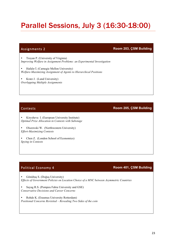## Parallel Sessions, July 3 (16:30-18:00)

## Assignments 2 **Room 203, ÇSM Building**

• Troyan P. (University of Virginia) *Improving Welfare in Assignment Problems: an Experimental Investigation*

• Hafalır İ. (Carnegie Mellon University) *Welfare-Maximizing Assignment of Agents to Hierarchical Positions*

• Kratz J. (Lund University) *Overlapping Multiple Assignments*

## Contests **Room 205, ÇSM Building**

• Kirysheva I. (European University Institute) *Optimal Prize Allocation in Contests with Sabotage*

• Olszewski W. (Northwestern University) *Effort-Maximizing Contests*

• Chen Z. (London School of Economics) *Spying in Contests*

• Gönültaş S. (Doğuş University) *Effects of Government Policies on Location Choice of a MNC between Asymmetric Countries*

• Sayag R.S. (Pompeu Fabra University and GSE) *Conservative Decisions and Career Concerns*

• Rohde K. (Erasmus University Rotterdam) *Positional Concerns Revisited – Revealing Two Sides of the coin*

## Political Economy 4 **Room 401, ÇSM Building**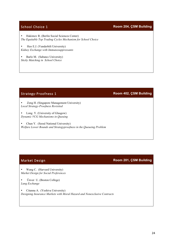## **School Choice 1 Room 204, ÇSM Building**

• Hakimov R. (Berlin Social Sciences Center) *The Equitable Top Trading Cycles Mechanism for School Choice*

• Heo E.J. (Vanderbilt University) *Kidney Exchange with Immunosuppressants*

Barlo M. (Sabancı University) *Sticky Matching in School Choice*

### • Zeng H. (Singapore Management University) *Local Strategy-Proofness Revisited*

- Long Y. (University of Glasgow) *Dynamic VCG Mechanisms in Queuing*
- Chun Y. (Seoul National University) *Welfare Lower Bounds and Strategyproofness in the Queueing Problem*

• Wang C. (Harvard University) *Market Design for Social Preferences*

• Ünver U. (Boston College) *Lung Exchange*

• Citanna A. (Yeshiva University) *Designing Insurance Markets with Moral Hazard and Nonexclusive Contracts*

## Market Design **Room 201, ÇSM Building**

## Strategy-Proofness 1 **Room 402, ÇSM Building**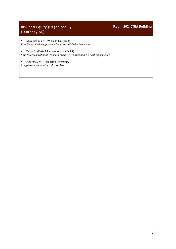## Risk and Equity (Organized By Fleurbaey M.)

**Room 202, ÇSM Building**

• Miyagishima K. (Waseda University) *Fair Social Orderings over Allocations of Risky Prospects*

• Zuber S. (Paris 1 University and CNRS) *Fair Intergenerational Decision Making: Ex Ante and Ex Post Approaches*

• Fleurbaey M. (Princeton University) *Long-term Discounting: Max or Min*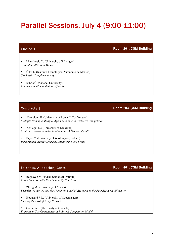## Parallel Sessions, July 4 (9:00-11:00)

## Choice 1 **Room 201, ÇSM Building**

• Masatlıoğlu Y. (University of Michigan) *A Random Attention Model*

• Ülkü L. (Instituto Tecnologico Autonomo de Mexico) *Stochastic Complementarity*

• Kıbrıs Ö. (Sabancı University) *Limited Attention and Status Quo Bias*

## **Contracts 1 Room 203, ÇSM Building**

• Campioni E. (University of Roma II, Tor Vergata) *Multiple Principle Multiple Agent Games with Exclusive Competition*

• Schlegel J.C (University of Lausanne) *Contracts versus Salaries in Matching: A General Result*

• Bejan C. (University of Washington, Bothell) *Performance-Based Contracts, Monitoring and Fraud*

## Fairness, Allocation, Costs **Room 401, ÇSM Building**

• Raghavan M. (Indian Statistical Institute) *Fair Allocation with Exact Capacity Constraints*

• Zheng M. (University of Macau) *Distributive Justice and the Threshold Level of Resource in the Fair Resource Allocation*

• Hougaard J. L. (University of Copenhagen) *Sharing the Cost of Risky Projects*

• García A.S. (University of Granada) *Fairness in Tax Compliance: A Political Competition Model*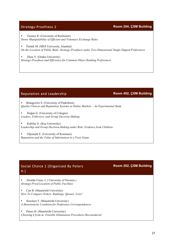Strategy-Proofness 2 **Room 204, ÇSM Building**

• Tierney R. (University of Rochester) *Dense Manipulability of Efficient and Voluntary Exchange Rules*

• Öztürk M. (MEF University, Istanbul) *On the Location of Public Bads: Strategy-Proofness under Two-Dimensional Single-Dipped Preferences*

• Zhou Y. (Osaka University) *Strategy-Proofness and Efficiency for Common Object Ranking Preferences*

## Reputation and Leadership **Room 402, ÇSM Building**

• Brangewitz S. (University of Paderborn) *Quality Choices and Reputation Systems in Online Markets – An Experimental Study*

• Doğan G. (University of Cologne) *Leaders, Followers, and Group Decision-Making*

• Kubilay E. (Koç University) *Leadership and Group Decision-Making under Risk: Evidence from Children*

• Oljemark E. (University of Konstanz) *Reputation and the Value of Information in a Trust Game*

## Social Choice 1 (Organized By Peters H.)

• Alcalde-Unzu, J. ( University of Navarra ) *Strategy-Proof Location of Public Facilities*

• Can B. (Maastricht University) *How To Compare Orders, Rankings, Queues, Lists?* 

• Storcken T. (Maastricht University) *A Monotonicity Condition for Preference Correspondences* 

Peters H. (Maastricht University) *Choosing k from m: Feasible Elimination Procedures Reconsidered*

## **Room 202, ÇSM Building**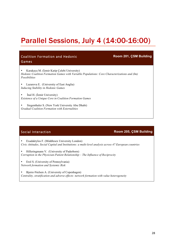## Parallel Sessions, July 4 (14:00-16:00)

| <b>Coalition Formation and Hedonic</b><br>Games                                                                                                                     | Room 201, CSM Building |
|---------------------------------------------------------------------------------------------------------------------------------------------------------------------|------------------------|
| Karakaya M. (İzmir Katip Çelebi University)<br>Hedonic Coalition Formation Games with Variable Populations: Core Characterizations and (Im)<br><i>Possibilities</i> |                        |
| Lazarova E. (Universtiy of East Anglia)<br>Inducing Stability in Hedonic Games                                                                                      |                        |
| Inal H. (Izmir University)<br>Existence of a Unique Core in Coalition Formation Games                                                                               |                        |
| Siegenthaler S. (New York University Abu Dhabi)<br><b>Gradual Coalition Formation with Externalities</b>                                                            |                        |

### Social Interaction **Room 205, CSM Building**

• Exadaktylos F. (Middlesex University London) *Civic Attitudes, Social Capital and Institutions: a multi-level analysis across 47 European countries*

• Hilleringmann V. (University of Paderborn) *Corruption in the Physician-Patient Relationship – The Influence of Reciprocity*

• Erol S. (University of Pennsylvania) *Network formation and Systemic Risk*

• Bjerre-Nielsen A. (University of Copenhagen) *Centrality, stratification and adverse effects: network formation with value heterogeneity*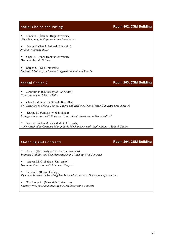## Social Choice and Voting **Room 402, ÇSM Building**

• Dindar H. (İstanbul Bilgi University)  *Vote Swapping in Representative Democracy*

• Jeong H. (Seoul National University)  *Resolute Majority Rules*

• Chen Y. (Johns Hopkins University)  *Dynamic Agenda Setting*

Sarpca S. (Koç University)  *Majority Choice of an Income Targeted Educational Voucher*

### School Choice 2 **Room 203, ÇSM Building**

• Jaramillo P. (University of Los Andes) *Transparency in School Choice*

• Chen L. (Université libre de Bruxelles) *Self-Selection in School Choice: Theory and Evidence from Mexico City High School Match*

• Kurino M. (University of Tsukuba) *College Admissions with Entrance Exams: Centralized versus Decentralized*

• Van der Linden M. (Vanderbilt University) *A New Method to Compare Manipulable Mechanisms, with Applications to School Choice*

## Matching and Contracts **Room 204, ÇSM Building**

• Alva S. (University of Texas at San Antonio) *Pairwise Stability and Complementarity in Matching With Contracts*

• Afacan M. O. (Sabancı University) *Graduate Admission with Financial Support*

• Turhan B. (Boston College) *Dynamic Reserves in Matching Markets with Contracts: Theory and Applications*

• Westkamp A. (Maastricht University) *Strategy-Proofness and Stability for Matching with Contracts*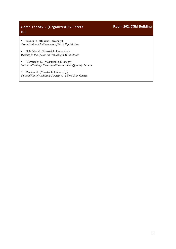## Game Theory 2 (Organized By Peters H.)

**Room 202, ÇSM Building**

• Keskin K. (Bilkent University) *Organizational Refinements of Nash Equilibrium*

• Schröder M. (Maastricht University) *Waiting in the Queue on Hotelling's Main Street* 

• Vermeulen D. (Maastricht University) *On Pure-Strategy Nash Equilibria in Price-Quantity Games* 

• Zseleva A. (Maastricht University) *OptimalFinitely Additive Strategies in Zero-Sum Games*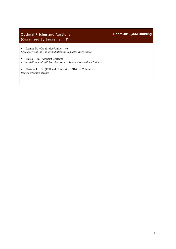## Optimal Pricing and Auctions (Organized By Bergemann D.)

**Room 401, ÇSM Building**

• Lamba R. (Cambridge University) *Efficiency with(out) Intermediation in Repeated Bargaining*

• Baisa B. (C (Amherst College) *A Detail-Free and Efficient Auction for Budget Constrained Bidders*

• Farinha Luz V. (EUI and University of British Columbia) *Robust dynamic pricing*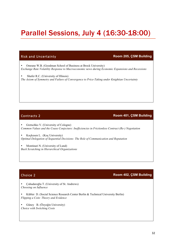## Parallel Sessions, July 4 (16:30-18:00)

### Risk and Uncertainty **Room 205, ÇSM Building**

• Omrane W.B. (Goodman School of Business at Brock University) *Exchange Rate Volatility Response to Macroeconomic news during Economic Expansions and Recessions*

Shafer R.C. (University of Illinois) *The Axiom of Symmetry and Failure of Convergence to Price-Taking under Knightian Uncertainty*

### **Contracts 2 Room 401, ÇSM Building**

• Gretschko V. (University of Cologne) *Common Values and the Coase Conjecture: Ineffıciencies in Frictionless Contract (Re-) Negotiation*

• Koçkesen L. (Koç University) *Optimal Delegation of Sequential Decisions: The Role of Communication and Reputation*

• Montinari N. (University of Lund) *Back Scratching in Hierarchical Organizations*

### Choice 2 **Room 402, ÇSM Building**

• Çuhadaroğlu T. (University of St. Andrews) *Choosing on Influence*

• Kübler D. (Social Science Research Center Berlin & Technical University Berlin) *Flipping a Coin: Theory and Evidence*

• Güney B. (Özyeğin University) *Choice with Switching Costs*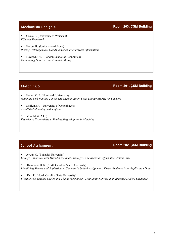• Csóka E. (University of Warwick) *Efficient Teamwork*

• Herbst H. (University of Bonn) *Pricing Heterogeneous Goods under Ex Post Private Information*

• Howard J. V. (London School of Economics) *Exchanging Goods Using Valuable Money*

## Matching 5 **Room 201, ÇSM Building**

• Heller C. P. (Humboldt University) *Matching with Waiting Times: The German Entry-Level Labour Market for Lawyers*

Smilgins A. (University of Copenhagen) *Two-Sided Matching with Objects*

• Zhu M. (GATE) *Experience Transmission: Truth-telling Adoption in Matching*

## School Assignment **Room 202, ÇSM Building**

• Aygün O. (Boğazici University) *College Admission with Multidimensional Privileges: The Brazilian Affirmative Action Case*

• Hammond R.G. (North Carolina State University) *Identifying Sincere and Sophisticated Students in School Assignment: Direct Evidence from Application Data*

• Dur U. (North Carolina State University) *Flexible Top Trading Cycles and Chains Mechanism: Maintaining Diversity in Erasmus Student Exchange*

### Mechanism Design 4 **Room 203, ÇSM Building**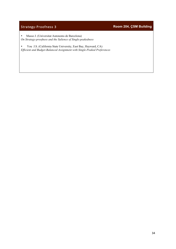## Strategy-Proofness 3 **Room 204, ÇSM Building**

• Masso J. (Universitat Autonoms de Barcelona) *On Strategy-proofness and the Salience of Single-peakedness*

• You J.S. (California State University, East Bay, Hayward, CA) *Efficient and Budget-Balanced Assignment with Single-Peaked Preferences*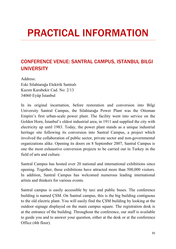# PRACTICAL INFORMATION

## CONFERENCE VENUE: SANTRAL CAMPUS, ISTANBUL BILGI **UNIVERSITY**

Address: Eski Silahtarağa Elektrik Santralı Kazım Karabekir Cad. No: 2/13 34060 Eyüp İstanbul

In its original incarnation, before restoration and conversion into Bilgi University Santral Campus, the Silahtarağa Power Plant was the Ottoman Empire's first urban-scale power plant. The facility went into service on the Golden Horn, İstanbul's oldest industrial area, in 1911 and supplied the city with electricity up until 1983. Today, the power plant stands as a unique industrial heritage site following its conversion into Santral Campus, a project which involved the collaboration of public sector, private sector and non-governmental organizations alike. Opening its doors on 8 September 2007, Santral Campus is one the most exhaustive conversion projects to be carried out in Turkey in the field of arts and culture.

Santral Campus has hosted over 20 national and international exhibitions since opening. Together, these exhibitions have attracted more than 500,000 visitors. In addition, Santral Campus has welcomed numerous leading international artists and thinkers for various events.

Santral campus is easily accessible by taxi and public buses. The conference building is named ÇSM. On Santral campus, this is the big building contiguous to the old electric plant. You will easily find the ÇSM building by looking at the outdoor signage displayed on the main campus square. The registration desk is at the entrance of the building. Throughout the conference, our staff is available to guide you and to answer your question, either at the desk or at the conference Office (4th floor).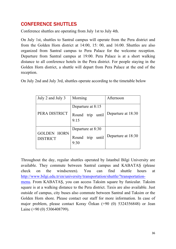## CONFERENCE SHUTTLES

Conference shuttles are operating from July 1st to July 4th.

On July 1st, shuttles to Santral campus will operate from the Pera district and from the Golden Horn district at 14:00, 15: 00, and 16:00. Shuttles are also organized from Santral campus to Pera Palace for the welcome reception. Departure from Santral campus at 19:00. Pera Palace is at a short walking distance to all conference hotels in the Pera district. For people staying in the Golden Horn district, a shuttle will depart from Pera Palace at the end of the reception.

On July 2nd and July 3rd, shuttles operate according to the timetable below

| July 2 and July 3                     | Morning                                             | Afternoon          |
|---------------------------------------|-----------------------------------------------------|--------------------|
| PERA DISTRICT                         | Departure at 8:15<br>Round trip until<br>9:15       | Departure at 18:30 |
| <b>GOLDEN HORN</b><br><b>DISTRICT</b> | Departure at 8:30<br>trip<br>Round<br>until<br>9:30 | Departure at 18:30 |

Throughout the day, regular shuttles operated by Istanbul Bilgi University are available. They commute between Santral campus and KABATAŞ (please check on the windscreen). You can find shuttle hours at http://www.bilgi.edu.tr/en/university/transportation/shuttle/?transportationmenu. From KABATAŞ, you can access Taksim square by funicular. Taksim square is at a walking distance to the Pera district. Taxis are also available. Just outside of campus, city buses also commute between Santral and Taksim or the Golden Horn shore. Please contact our staff for more information. In case of major problem, please contact Koray Özkan (+90 (0) 5324356848) or Jean Laine (+90 (0) 5306408799).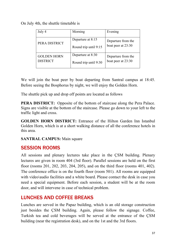On July 4th, the shuttle timetable is

| July 4                                | Morning               | Evening            |
|---------------------------------------|-----------------------|--------------------|
|                                       |                       |                    |
| PERA DISTRICT                         | Departure at 8:15     | Departure from the |
|                                       |                       |                    |
|                                       | Round trip until 9:15 | boat peer at 23:30 |
|                                       |                       |                    |
| <b>GOLDEN HORN</b><br><b>DISTRICT</b> | Departure at 8:30     | Departure from the |
|                                       | Round trip until 9:30 | boat peer at 23:30 |
|                                       |                       |                    |

We will join the boat peer by boat departing from Santral campus at 18:45. Before seeing the Bosphorus by night, we will enjoy the Golden Horn.

The shuttle pick up and drop off points are located as follows

**PERA DISTRICT:** Opposite of the bottom of staircase along the Pera Palace. Signs are visible at the bottom of the staircase. Please go down to your left to the traffic light and cross.

**GOLDEN HORN DISTRICT:** Entrance of the Hilton Garden Inn Istanbul Golden Horn, which is at a short walking distance of all the conference hotels in this area.

**SANTRAL CAMPUS:** Main square

## SESSION ROOMS

All sessions and plenary lectures take place in the ÇSM building. Plenary lectures are given in room 404 (3rd floor). Parallel sessions are held on the first floor (rooms 201, 202, 203, 204, 205), and on the third floor (rooms 401, 402). The conference office is on the fourth floor (room 501). All rooms are equipped with video\audio facilities and a white board. Please contact the desk in case you need a special equipment. Before each session, a student will be at the room door, and will intervene in case of technical problem.

## LUNCHES AND COFFEE BREAKS

Lunches are served in the Papaz building, which is an old storage construction just besides the ÇSM building. Again, please follow the signage. Coffee, Turkish tea and cold beverages will be served at the entrance of the ÇSM building (near the registration desk), and on the 1st and the 3rd floors.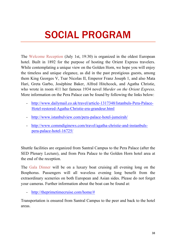# SOCIAL PROGRAM

The Welcome Reception (July 1st, 19:30) is organized in the oldest European hotel. Built in 1892 for the purpose of hosting the Orient Express travelers. While contemplating a unique view on the Golden Horn, we hope you will enjoy the timeless and unique elegance, as did in the past prestigious guests, among them King Georges V, Tsar Nicolas II, Emperor Franz Joseph 1, and also Mata Hari, Greta Garbo, Joséphine Baker, Alfred Hitchcock, and Agatha Christie, who wrote in room 411 her famous 1934 novel *Murder on the Orient Express*. More information on the Pera Palace can be found by following the links below:

- http://www.dailymail.co.uk/travel/article-1317348/Istanbuls-Pera-Palace-Hotel-restored-Agatha-Christie-era-grandeur.html
- http://www.istanbulview.com/pera-palace-hotel-jumeirah/
- http://www.commdiginews.com/travel/agatha-christie-and-instanbulspera-palace-hotel-16725/

Shuttle facilities are organized from Santral Campus to the Pera Palace (after the SED Plenary Lecture), and from Pera Palace to the Golden Horn hotel area at the end of the reception.

The Gala Dinner will be on a luxury boat cruising all evening long on the Bosphorus. Passengers will all waveless evening long benefit from the extraordinary sceneries on both European and Asian sides. Please do not forget your cameras. Further information about the boat can be found at:

- http://theprimetimecruise.com/home/#

Transportation is ensured from Santral Campus to the peer and back to the hotel areas.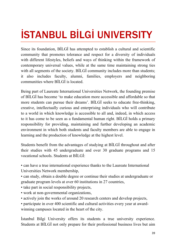# İSTANBUL BİLGİ UNIVERSITY

Since its foundation, BİLGİ has attempted to establish a cultural and scientific community that promotes tolerance and respect for a diversity of individuals with different lifestyles, beliefs and ways of thinking within the framework of contemporary universal values, while at the same time maintaining strong ties with all segments of the society. BILGI community includes more than students; it also includes faculty, alumni, families, employers and neighboring communities where BİLGİ is located.

Being part of Laureate International Universities Network, the founding premise of BİLGİ has become 'to make education more accessible and affordable so that more students can pursue their dreams'. BİLGİ seeks to educate free-thinking, creative, intellectually curious and enterprising individuals who will contribute to a world in which knowledge is accessible to all and, indeed, in which access to it has come to be seen as a fundamental human right. BİLGİ holds a primary responsibility for providing, maintaining and further developing an academic environment in which both students and faculty members are able to engage in learning and the production of knowledge at the highest level.

Students benefit from the advantages of studying at BİLGİ throughout and after their studies with 45 undergraduate and over 30 graduate programs and 15 vocational schools. Students at BİLGİ:

• can have a true international experience thanks to the Laureate International Universities Network membership,

• can study, obtain a double degree or continue their studies at undergraduate or graduate program levels at over 60 institutions in 27 countries,

• take part in social responsibility projects,

- work at non-governmental organizations,
- actively join the works of around 20 research centers and develop projects,

• participate in over 400 scientific and cultural activities every year at awardwinning campuses located in the heart of the city.

İstanbul Bilgi University offers its students a true university experience. Students at BİLGİ not only prepare for their professional business lives but aim